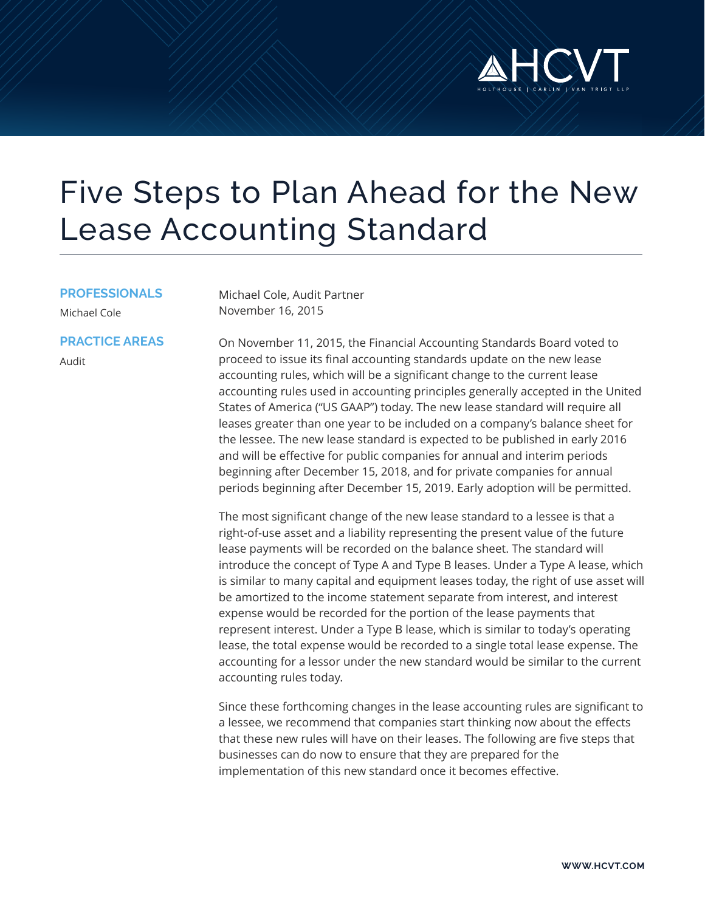

# Five Steps to Plan Ahead for the New Lease Accounting Standard

#### **PROFESSIONALS**

**PRACTICE AREAS**

Michael Cole

Michael Cole, Audit Partner November 16, 2015

Audit

On November 11, 2015, the Financial Accounting Standards Board voted to proceed to issue its final accounting standards update on the new lease accounting rules, which will be a significant change to the current lease accounting rules used in accounting principles generally accepted in the United States of America ("US GAAP") today. The new lease standard will require all leases greater than one year to be included on a company's balance sheet for the lessee. The new lease standard is expected to be published in early 2016 and will be effective for public companies for annual and interim periods beginning after December 15, 2018, and for private companies for annual periods beginning after December 15, 2019. Early adoption will be permitted.

The most significant change of the new lease standard to a lessee is that a right-of-use asset and a liability representing the present value of the future lease payments will be recorded on the balance sheet. The standard will introduce the concept of Type A and Type B leases. Under a Type A lease, which is similar to many capital and equipment leases today, the right of use asset will be amortized to the income statement separate from interest, and interest expense would be recorded for the portion of the lease payments that represent interest. Under a Type B lease, which is similar to today's operating lease, the total expense would be recorded to a single total lease expense. The accounting for a lessor under the new standard would be similar to the current accounting rules today.

Since these forthcoming changes in the lease accounting rules are significant to a lessee, we recommend that companies start thinking now about the effects that these new rules will have on their leases. The following are five steps that businesses can do now to ensure that they are prepared for the implementation of this new standard once it becomes effective.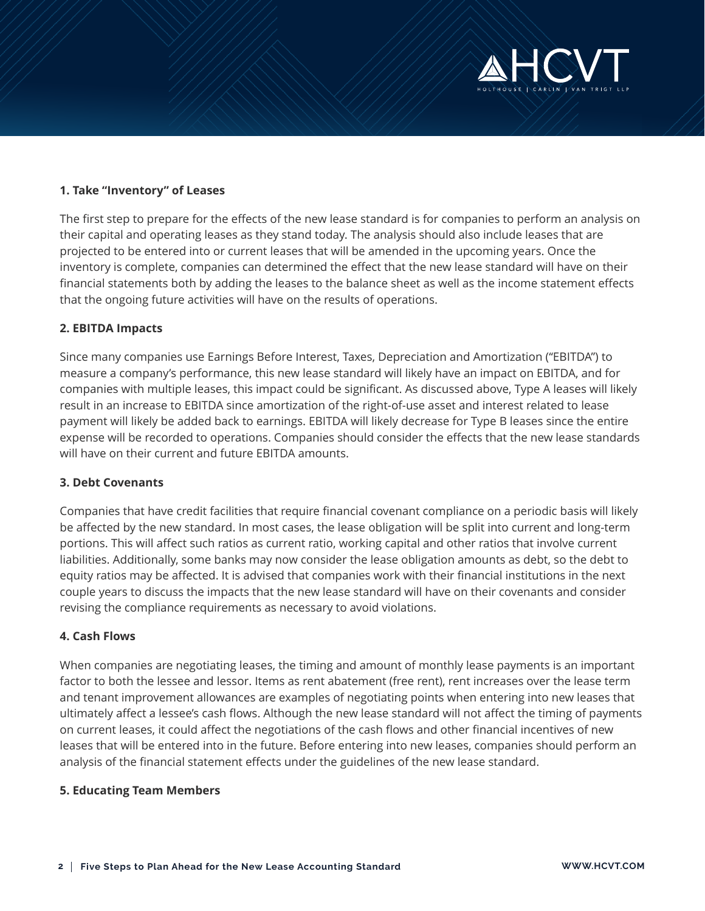

## **1. Take "Inventory" of Leases**

The first step to prepare for the effects of the new lease standard is for companies to perform an analysis on their capital and operating leases as they stand today. The analysis should also include leases that are projected to be entered into or current leases that will be amended in the upcoming years. Once the inventory is complete, companies can determined the effect that the new lease standard will have on their financial statements both by adding the leases to the balance sheet as well as the income statement effects that the ongoing future activities will have on the results of operations.

#### **2. EBITDA Impacts**

Since many companies use Earnings Before Interest, Taxes, Depreciation and Amortization ("EBITDA") to measure a company's performance, this new lease standard will likely have an impact on EBITDA, and for companies with multiple leases, this impact could be significant. As discussed above, Type A leases will likely result in an increase to EBITDA since amortization of the right-of-use asset and interest related to lease payment will likely be added back to earnings. EBITDA will likely decrease for Type B leases since the entire expense will be recorded to operations. Companies should consider the effects that the new lease standards will have on their current and future EBITDA amounts.

#### **3. Debt Covenants**

Companies that have credit facilities that require financial covenant compliance on a periodic basis will likely be affected by the new standard. In most cases, the lease obligation will be split into current and long-term portions. This will affect such ratios as current ratio, working capital and other ratios that involve current liabilities. Additionally, some banks may now consider the lease obligation amounts as debt, so the debt to equity ratios may be affected. It is advised that companies work with their financial institutions in the next couple years to discuss the impacts that the new lease standard will have on their covenants and consider revising the compliance requirements as necessary to avoid violations.

#### **4. Cash Flows**

When companies are negotiating leases, the timing and amount of monthly lease payments is an important factor to both the lessee and lessor. Items as rent abatement (free rent), rent increases over the lease term and tenant improvement allowances are examples of negotiating points when entering into new leases that ultimately affect a lessee's cash flows. Although the new lease standard will not affect the timing of payments on current leases, it could affect the negotiations of the cash flows and other financial incentives of new leases that will be entered into in the future. Before entering into new leases, companies should perform an analysis of the financial statement effects under the guidelines of the new lease standard.

### **5. Educating Team Members**